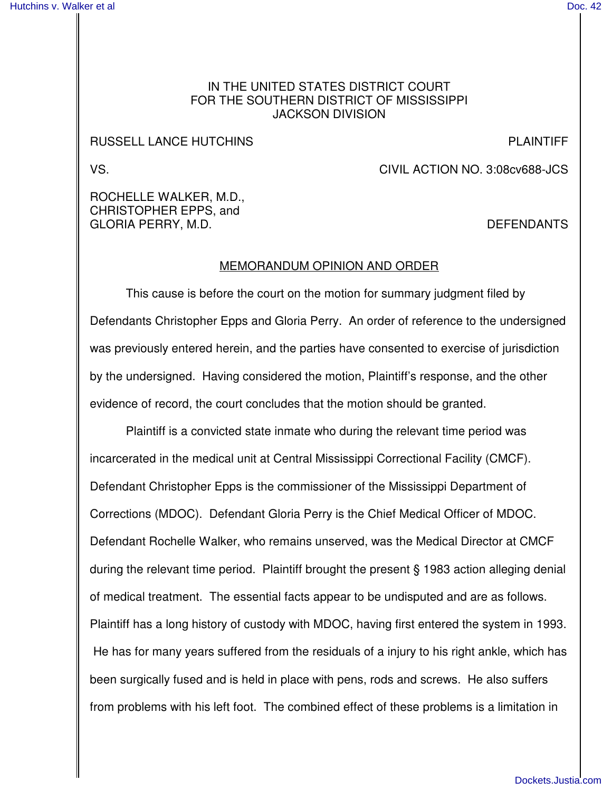## IN THE UNITED STATES DISTRICT COURT FOR THE SOUTHERN DISTRICT OF MISSISSIPPI JACKSON DIVISION

## RUSSELL LANCE HUTCHINS **EXECUTE A SECURE 2018 THE REAL PLAINTIFF**

VS. CIVIL ACTION NO. 3:08cv688-JCS

ROCHELLE WALKER, M.D., CHRISTOPHER EPPS, and GLORIA PERRY, M.D. DEFENDANTS

## MEMORANDUM OPINION AND ORDER

This cause is before the court on the motion for summary judgment filed by Defendants Christopher Epps and Gloria Perry. An order of reference to the undersigned was previously entered herein, and the parties have consented to exercise of jurisdiction by the undersigned. Having considered the motion, Plaintiff's response, and the other evidence of record, the court concludes that the motion should be granted.

Plaintiff is a convicted state inmate who during the relevant time period was incarcerated in the medical unit at Central Mississippi Correctional Facility (CMCF). Defendant Christopher Epps is the commissioner of the Mississippi Department of Corrections (MDOC). Defendant Gloria Perry is the Chief Medical Officer of MDOC. Defendant Rochelle Walker, who remains unserved, was the Medical Director at CMCF during the relevant time period. Plaintiff brought the present § 1983 action alleging denial of medical treatment. The essential facts appear to be undisputed and are as follows. Plaintiff has a long history of custody with MDOC, having first entered the system in 1993. He has for many years suffered from the residuals of a injury to his right ankle, which has been surgically fused and is held in place with pens, rods and screws. He also suffers from problems with his left foot. The combined effect of these problems is a limitation in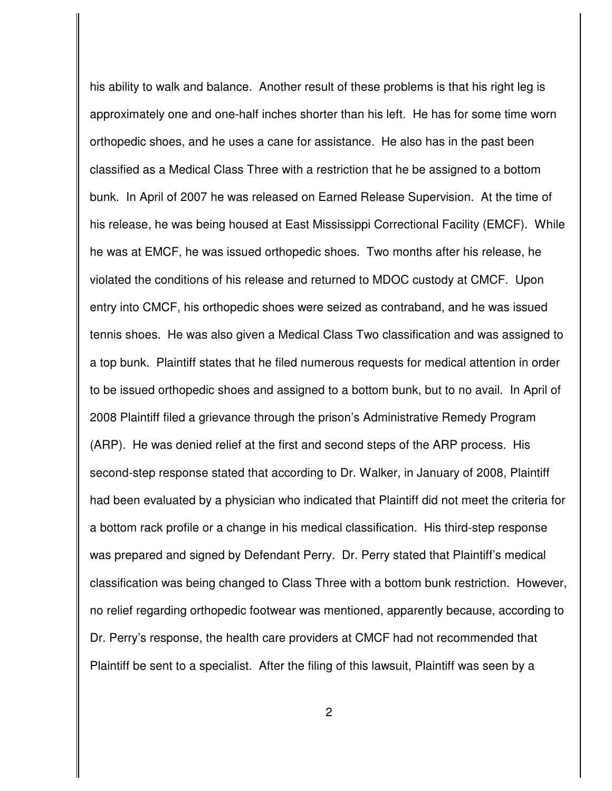his ability to walk and balance. Another result of these problems is that his right leg is approximately one and one-half inches shorter than his left. He has for some time worn orthopedic shoes, and he uses a cane for assistance. He also has in the past been classified as a Medical Class Three with a restriction that he be assigned to a bottom bunk. In April of 2007 he was released on Earned Release Supervision. At the time of his release, he was being housed at East Mississippi Correctional Facility (EMCF). While he was at EMCF, he was issued orthopedic shoes. Two months after his release, he violated the conditions of his release and returned to MDOC custody at CMCF. Upon entry into CMCF, his orthopedic shoes were seized as contraband, and he was issued tennis shoes. He was also given a Medical Class Two classification and was assigned to a top bunk. Plaintiff states that he filed numerous requests for medical attention in order to be issued orthopedic shoes and assigned to a bottom bunk, but to no avail. In April of 2008 Plaintiff filed a grievance through the prison's Administrative Remedy Program (ARP). He was denied relief at the first and second steps of the ARP process. His second-step response stated that according to Dr. Walker, in January of 2008, Plaintiff had been evaluated by a physician who indicated that Plaintiff did not meet the criteria for a bottom rack profile or a change in his medical classification. His third-step response was prepared and signed by Defendant Perry. Dr. Perry stated that Plaintiff's medical classification was being changed to Class Three with a bottom bunk restriction. However, no relief regarding orthopedic footwear was mentioned, apparently because, according to Dr. Perry's response, the health care providers at CMCF had not recommended that Plaintiff be sent to a specialist. After the filing of this lawsuit, Plaintiff was seen by a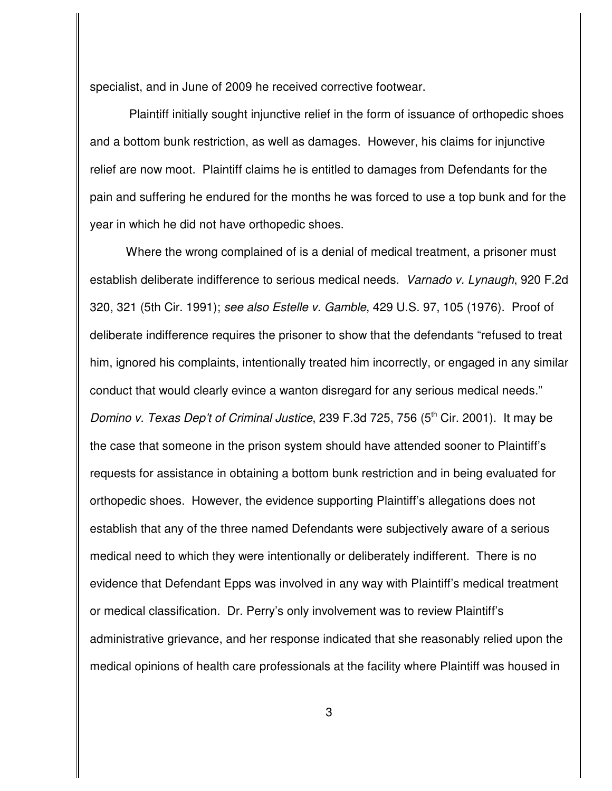specialist, and in June of 2009 he received corrective footwear.

Plaintiff initially sought injunctive relief in the form of issuance of orthopedic shoes and a bottom bunk restriction, as well as damages. However, his claims for injunctive relief are now moot. Plaintiff claims he is entitled to damages from Defendants for the pain and suffering he endured for the months he was forced to use a top bunk and for the year in which he did not have orthopedic shoes.

Where the wrong complained of is a denial of medical treatment, a prisoner must establish deliberate indifference to serious medical needs. *Varnado v. Lynaugh*, 920 F.2d 320, 321 (5th Cir. 1991); *see also Estelle v. Gamble*, 429 U.S. 97, 105 (1976). Proof of deliberate indifference requires the prisoner to show that the defendants "refused to treat him, ignored his complaints, intentionally treated him incorrectly, or engaged in any similar conduct that would clearly evince a wanton disregard for any serious medical needs." *Domino v. Texas Dep't of Criminal Justice*, 239 F.3d 725, 756 (5 th Cir. 2001). It may be the case that someone in the prison system should have attended sooner to Plaintiff's requests for assistance in obtaining a bottom bunk restriction and in being evaluated for orthopedic shoes. However, the evidence supporting Plaintiff's allegations does not establish that any of the three named Defendants were subjectively aware of a serious medical need to which they were intentionally or deliberately indifferent. There is no evidence that Defendant Epps was involved in any way with Plaintiff's medical treatment or medical classification. Dr. Perry's only involvement was to review Plaintiff's administrative grievance, and her response indicated that she reasonably relied upon the medical opinions of health care professionals at the facility where Plaintiff was housed in